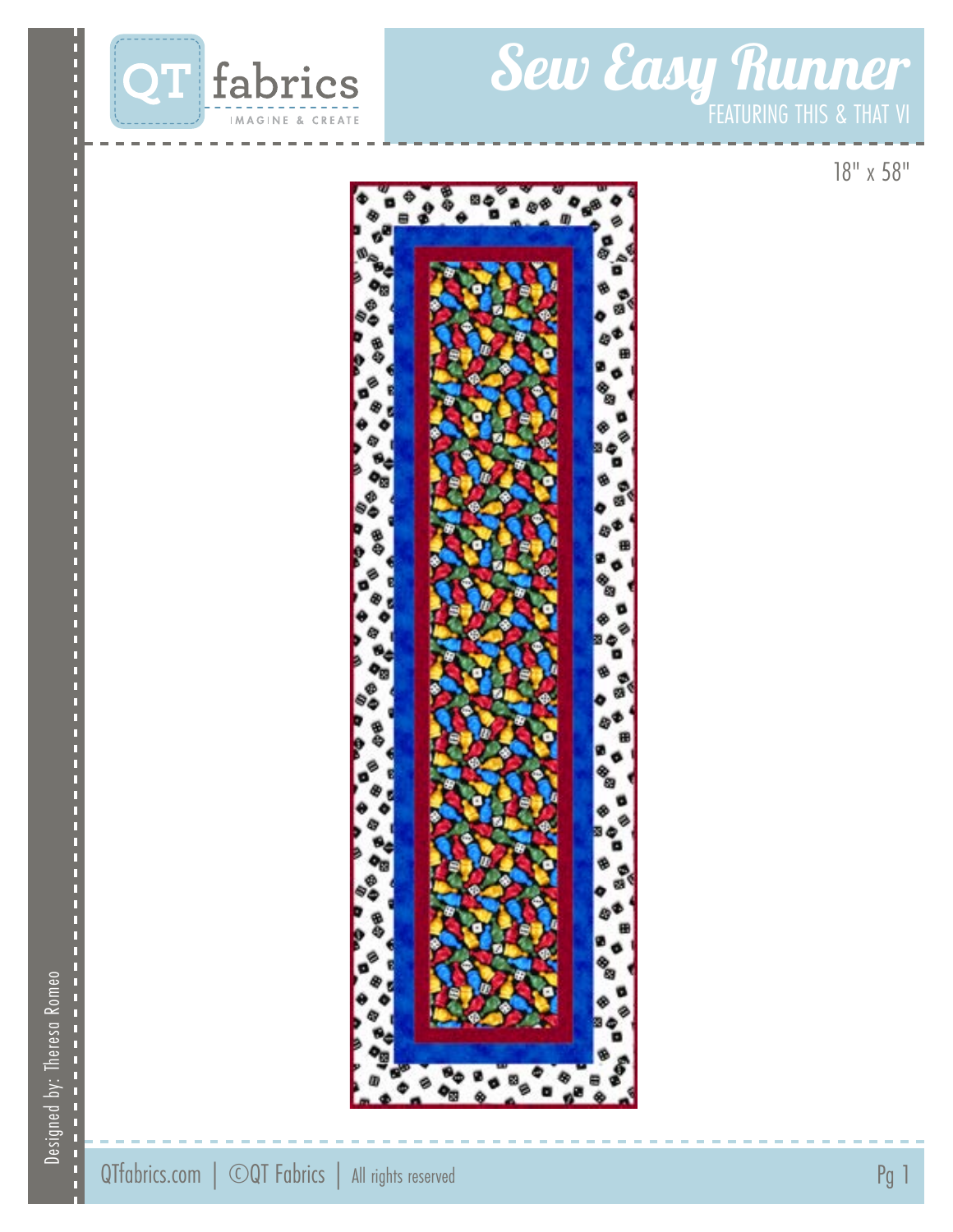

# Sew Easy Runner

18" x 58"



Designed by: Theresa Romeo Designed by: Theresa Romeo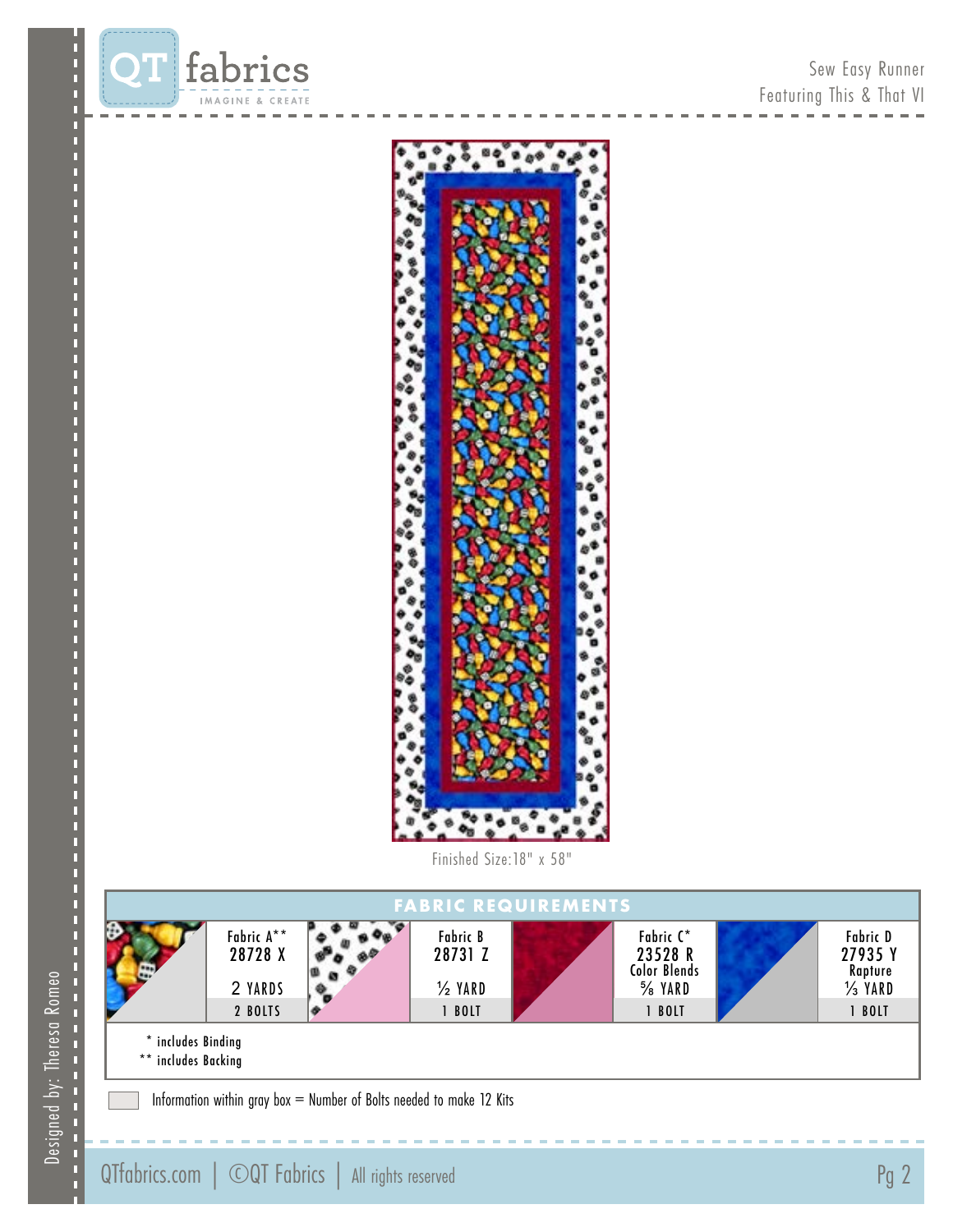



Finished Size:18" x 58"



Information within gray box = Number of Bolts needed to make 12 Kits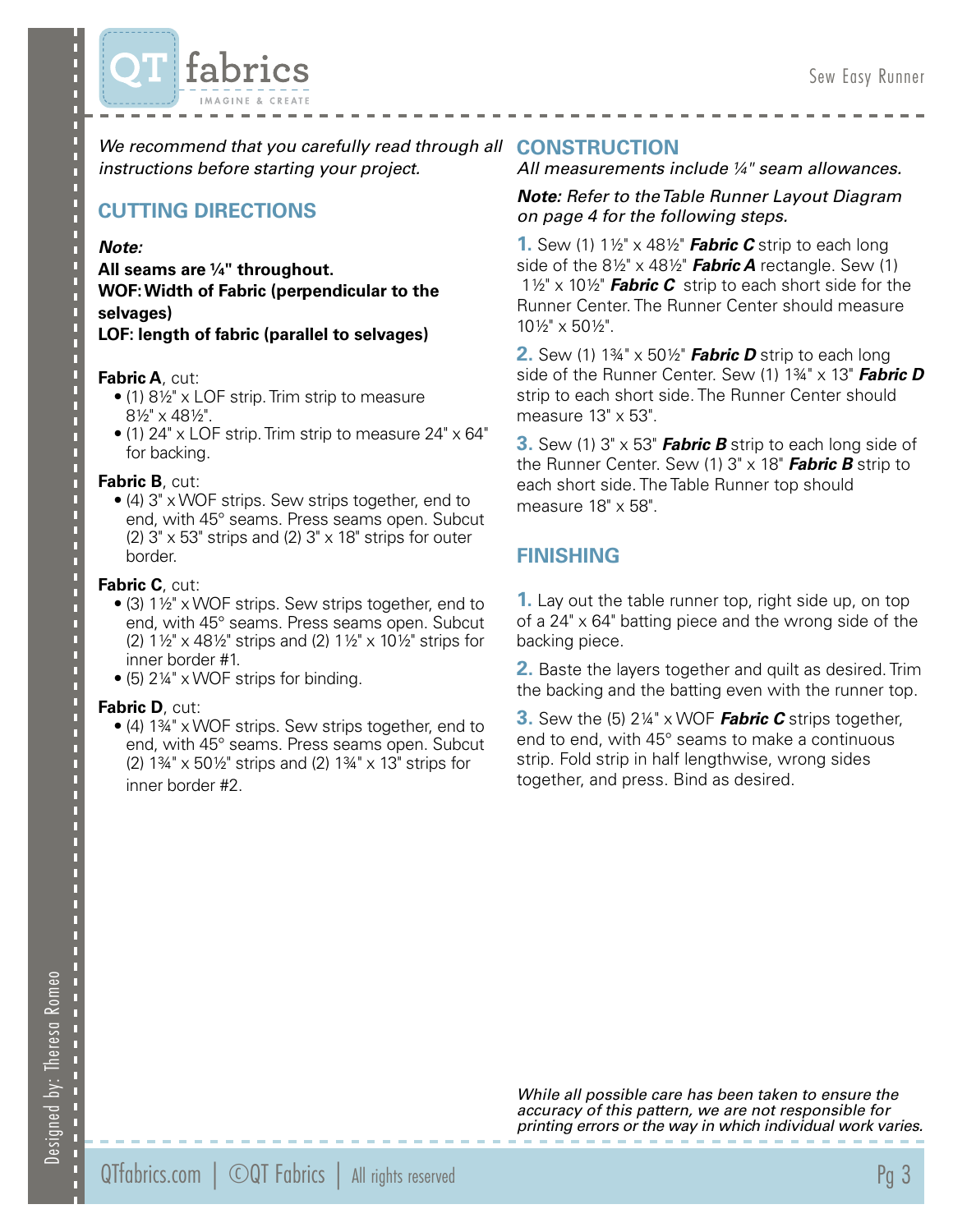

We recommend that you carefully read through all **CONSTRUCTION** *instructions before starting your project.*

### **CUTTING DIRECTIONS**

#### *Note:*

**All seams are ¼" throughout. WOF: Width of Fabric (perpendicular to the selvages)**

**LOF: length of fabric (parallel to selvages)**

#### **Fabric A**, cut:

- (1) 8½" x LOF strip. Trim strip to measure 8½" x 48½".
- (1) 24" x LOF strip. Trim strip to measure 24" x 64" for backing.

#### **Fabric B**, cut:

• (4) 3" x WOF strips. Sew strips together, end to end, with 45° seams. Press seams open. Subcut (2)  $3" \times 53"$  strips and (2)  $3" \times 18"$  strips for outer border.

#### **Fabric C**, cut:

- (3) 1½" x WOF strips. Sew strips together, end to end, with 45° seams. Press seams open. Subcut (2) 1½" x 48½" strips and (2) 1½" x 10½" strips for inner border #1.
- $\bullet$  (5) 2¼" x WOF strips for binding.

#### **Fabric D**, cut:

• (4) 1¾" x WOF strips. Sew strips together, end to end, with 45° seams. Press seams open. Subcut (2) 1¾" x 50½" strips and (2) 1¾" x 13" strips for inner border #2.

#### *All measurements include ¼" seam allowances.*

#### *Note: Refer to the Table Runner Layout Diagram on page 4 for the following steps.*

**1.** Sew (1) 1½" x 48½" *Fabric C* strip to each long side of the 8½" x 48½" *Fabric A* rectangle. Sew (1) 1½" x 10½" *Fabric C* strip to each short side for the Runner Center. The Runner Center should measure 10½" x 50½".

**2.** Sew (1) 1¾" x 50½" *Fabric D* strip to each long side of the Runner Center. Sew (1) 1¾" x 13" *Fabric D* strip to each short side. The Runner Center should measure 13" x 53".

**3.** Sew (1) 3" x 53" *Fabric B* strip to each long side of the Runner Center. Sew (1) 3" x 18" *Fabric B* strip to each short side. The Table Runner top should measure 18" x 58".

#### **FINISHING**

**1.** Lay out the table runner top, right side up, on top of a 24" x 64" batting piece and the wrong side of the backing piece.

**2.** Baste the layers together and quilt as desired. Trim the backing and the batting even with the runner top.

**3.** Sew the (5) 2¼" x WOF *Fabric C* strips together, end to end, with 45° seams to make a continuous strip. Fold strip in half lengthwise, wrong sides together, and press. Bind as desired.

Designed by: Theresa Romeo Designed by: Theresa Romeo

*While all possible care has been taken to ensure the accuracy of this pattern, we are not responsible for printing errors or the way in which individual work varies.*